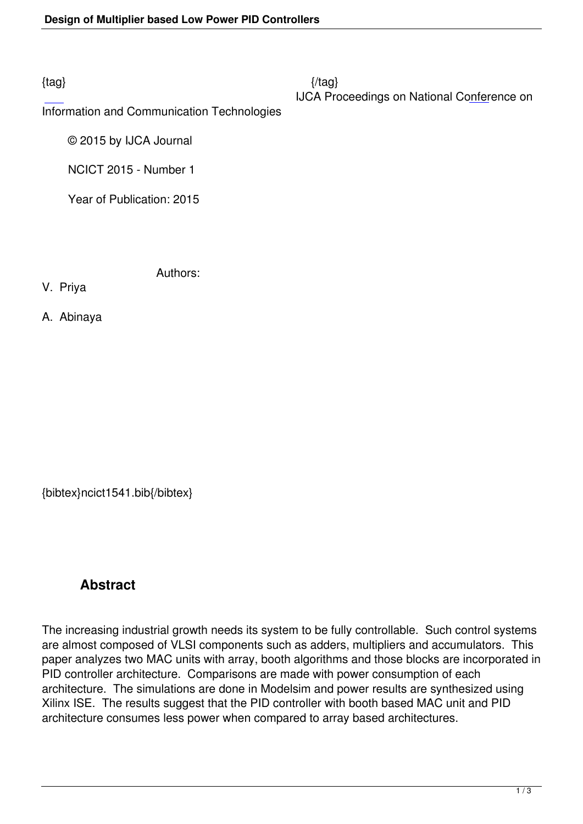Information and Communication Technologies

© 2015 by IJCA Journal

NCICT 2015 - Number 1

Year of Publication: 2015

Authors:

V. Priya

A. Abinaya

{bibtex}ncict1541.bib{/bibtex}

## **Abstract**

The increasing industrial growth needs its system to be fully controllable. Such control systems are almost composed of VLSI components such as adders, multipliers and accumulators. This paper analyzes two MAC units with array, booth algorithms and those blocks are incorporated in PID controller architecture. Comparisons are made with power consumption of each architecture. The simulations are done in Modelsim and power results are synthesized using Xilinx ISE. The results suggest that the PID controller with booth based MAC unit and PID architecture consumes less power when compared to array based architectures.